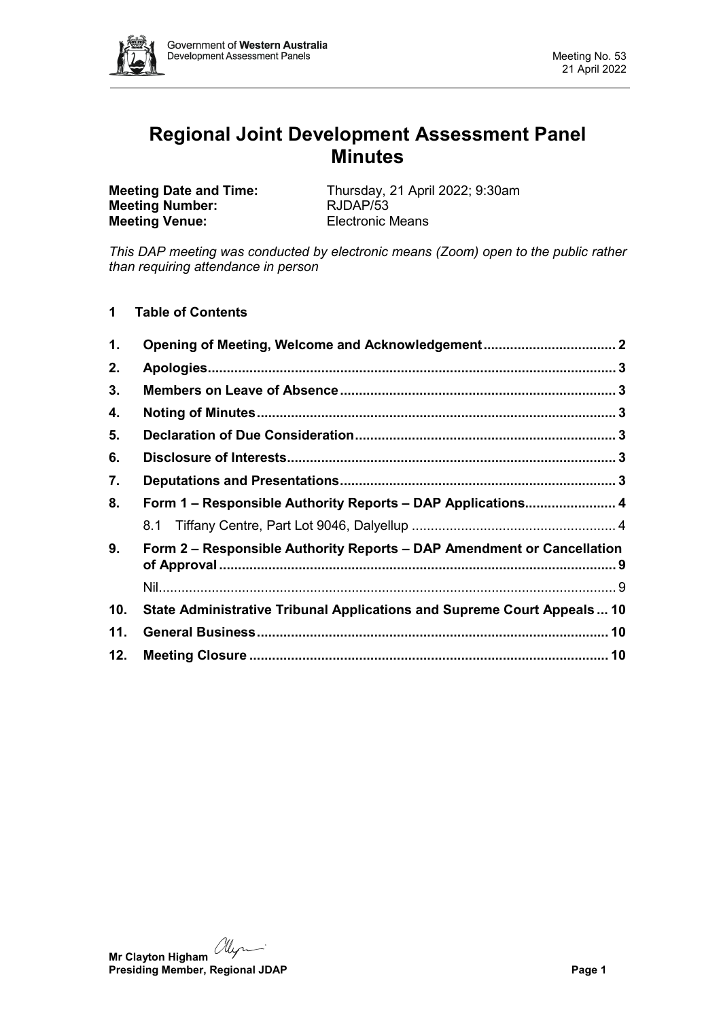

# **Regional Joint Development Assessment Panel Minutes**

**Meeting Number: Meeting Venue:** Electronic Means

**Meeting Date and Time:** Thursday, 21 April 2022; 9:30am<br> **Meeting Number:** RJDAP/53

*This DAP meeting was conducted by electronic means (Zoom) open to the public rather than requiring attendance in person*

**1 Table of Contents**

| $\mathbf 1$ . | Opening of Meeting, Welcome and Acknowledgement 2                       |  |  |  |
|---------------|-------------------------------------------------------------------------|--|--|--|
| 2.            |                                                                         |  |  |  |
| 3.            |                                                                         |  |  |  |
| 4.            |                                                                         |  |  |  |
| 5.            |                                                                         |  |  |  |
| 6.            |                                                                         |  |  |  |
| 7.            |                                                                         |  |  |  |
| 8.            | Form 1 - Responsible Authority Reports - DAP Applications 4             |  |  |  |
|               |                                                                         |  |  |  |
| 9.            | Form 2 - Responsible Authority Reports - DAP Amendment or Cancellation  |  |  |  |
|               |                                                                         |  |  |  |
| 10.           | State Administrative Tribunal Applications and Supreme Court Appeals 10 |  |  |  |
| 11.           |                                                                         |  |  |  |
| 12.           |                                                                         |  |  |  |

**Mr Clayton Higham** *Myre*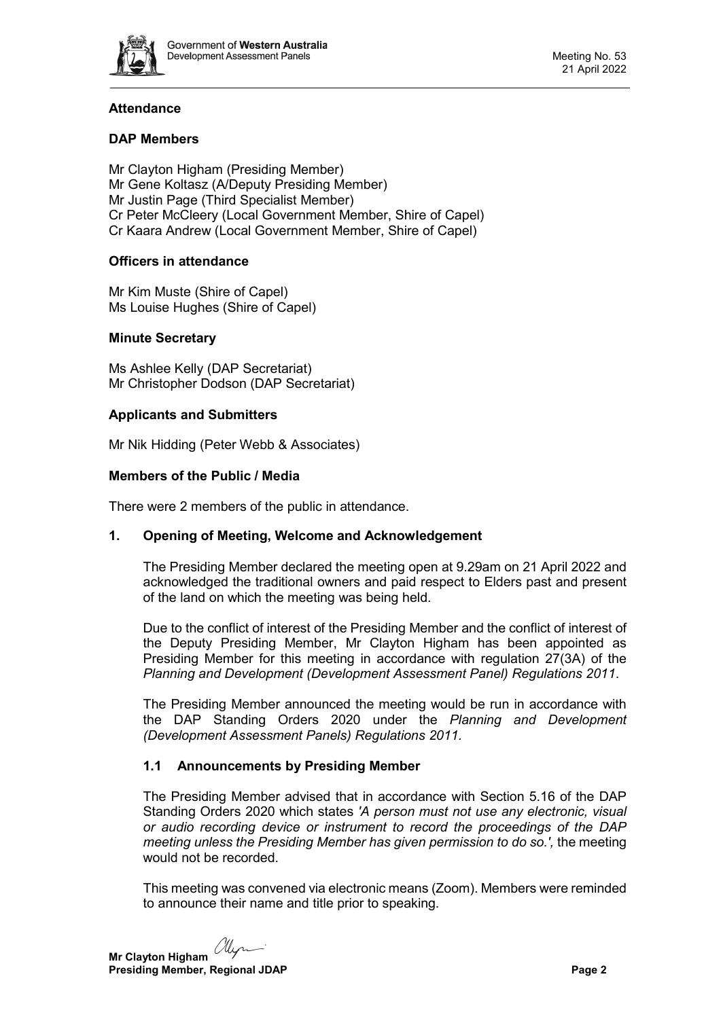

# **Attendance**

# **DAP Members**

Mr Clayton Higham (Presiding Member) Mr Gene Koltasz (A/Deputy Presiding Member) Mr Justin Page (Third Specialist Member) Cr Peter McCleery (Local Government Member, Shire of Capel) Cr Kaara Andrew (Local Government Member, Shire of Capel)

# **Officers in attendance**

Mr Kim Muste (Shire of Capel) Ms Louise Hughes (Shire of Capel)

# **Minute Secretary**

Ms Ashlee Kelly (DAP Secretariat) Mr Christopher Dodson (DAP Secretariat)

## **Applicants and Submitters**

Mr Nik Hidding (Peter Webb & Associates)

## **Members of the Public / Media**

<span id="page-1-0"></span>There were 2 members of the public in attendance.

# **1. Opening of Meeting, Welcome and Acknowledgement**

The Presiding Member declared the meeting open at 9.29am on 21 April 2022 and acknowledged the traditional owners and paid respect to Elders past and present of the land on which the meeting was being held.

Due to the conflict of interest of the Presiding Member and the conflict of interest of the Deputy Presiding Member, Mr Clayton Higham has been appointed as Presiding Member for this meeting in accordance with regulation 27(3A) of the *Planning and Development (Development Assessment Panel) Regulations 2011*.

The Presiding Member announced the meeting would be run in accordance with the DAP Standing Orders 2020 under the *Planning and Development (Development Assessment Panels) Regulations 2011.*

# **1.1 Announcements by Presiding Member**

The Presiding Member advised that in accordance with Section 5.16 of the DAP Standing Orders 2020 which states *'A person must not use any electronic, visual or audio recording device or instrument to record the proceedings of the DAP meeting unless the Presiding Member has given permission to do so.',* the meeting would not be recorded.

This meeting was convened via electronic means (Zoom). Members were reminded to announce their name and title prior to speaking.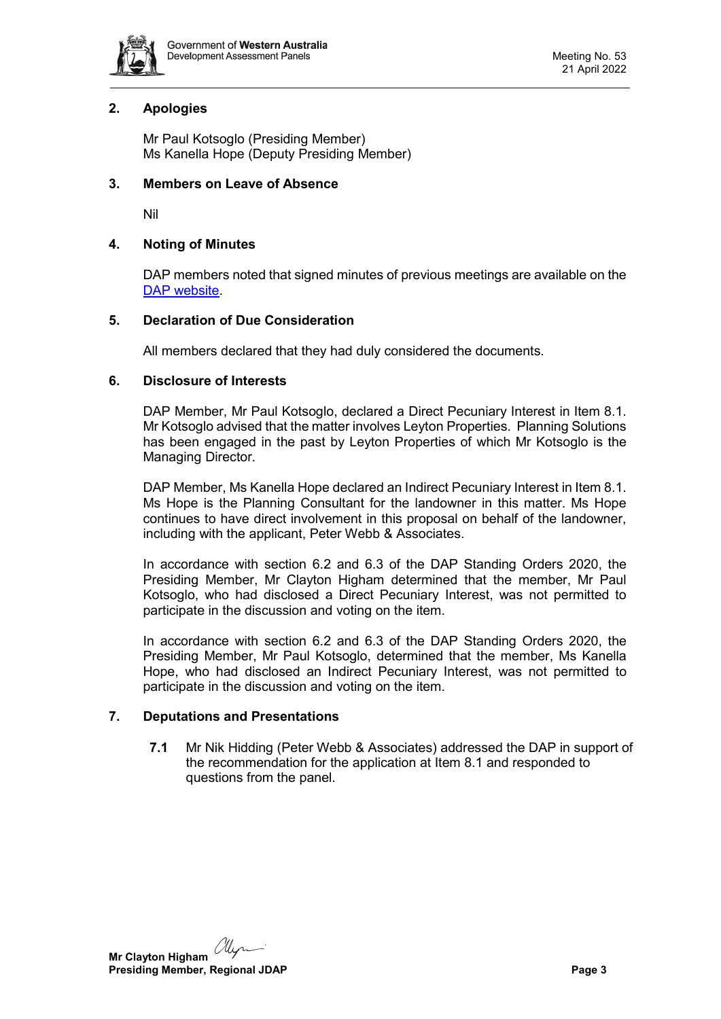

# <span id="page-2-0"></span>**2. Apologies**

Mr Paul Kotsoglo (Presiding Member) Ms Kanella Hope (Deputy Presiding Member)

## <span id="page-2-1"></span>**3. Members on Leave of Absence**

Nil

## <span id="page-2-2"></span>**4. Noting of Minutes**

DAP members noted that signed minutes of previous meetings are available on the [DAP website.](https://www.dplh.wa.gov.au/about/development-assessment-panels/daps-agendas-and-minutes)

## <span id="page-2-3"></span>**5. Declaration of Due Consideration**

All members declared that they had duly considered the documents.

## <span id="page-2-4"></span>**6. Disclosure of Interests**

DAP Member, Mr Paul Kotsoglo, declared a Direct Pecuniary Interest in Item 8.1. Mr Kotsoglo advised that the matter involves Leyton Properties. Planning Solutions has been engaged in the past by Leyton Properties of which Mr Kotsoglo is the Managing Director.

DAP Member, Ms Kanella Hope declared an Indirect Pecuniary Interest in Item 8.1. Ms Hope is the Planning Consultant for the landowner in this matter. Ms Hope continues to have direct involvement in this proposal on behalf of the landowner, including with the applicant, Peter Webb & Associates.

In accordance with section 6.2 and 6.3 of the DAP Standing Orders 2020, the Presiding Member, Mr Clayton Higham determined that the member, Mr Paul Kotsoglo, who had disclosed a Direct Pecuniary Interest, was not permitted to participate in the discussion and voting on the item.

In accordance with section 6.2 and 6.3 of the DAP Standing Orders 2020, the Presiding Member, Mr Paul Kotsoglo, determined that the member, Ms Kanella Hope, who had disclosed an Indirect Pecuniary Interest, was not permitted to participate in the discussion and voting on the item.

# <span id="page-2-5"></span>**7. Deputations and Presentations**

**7.1** Mr Nik Hidding (Peter Webb & Associates) addressed the DAP in support of the recommendation for the application at Item 8.1 and responded to questions from the panel.

alyn **Mr Clayton Higham Presiding Member, Regional JDAP Page 3 Page 3**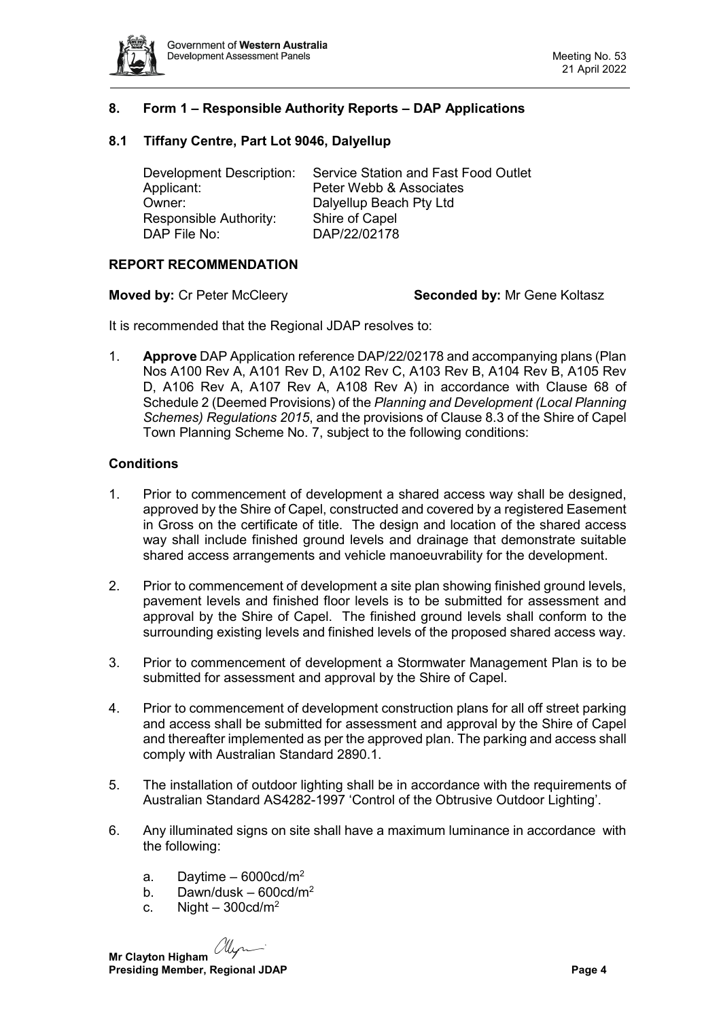

# <span id="page-3-0"></span>**8. Form 1 – Responsible Authority Reports – DAP Applications**

# <span id="page-3-1"></span>**8.1 Tiffany Centre, Part Lot 9046, Dalyellup**

| Service Station and Fast Food Outlet |
|--------------------------------------|
| Peter Webb & Associates              |
| Dalyellup Beach Pty Ltd              |
| Shire of Capel                       |
| DAP/22/02178                         |
|                                      |

#### **REPORT RECOMMENDATION**

#### **Moved by:** Cr Peter McCleery **Seconded by:** Mr Gene Koltasz

It is recommended that the Regional JDAP resolves to:

1. **Approve** DAP Application reference DAP/22/02178 and accompanying plans (Plan Nos A100 Rev A, A101 Rev D, A102 Rev C, A103 Rev B, A104 Rev B, A105 Rev D, A106 Rev A, A107 Rev A, A108 Rev A) in accordance with Clause 68 of Schedule 2 (Deemed Provisions) of the *Planning and Development (Local Planning Schemes) Regulations 2015*, and the provisions of Clause 8.3 of the Shire of Capel Town Planning Scheme No. 7, subject to the following conditions:

## **Conditions**

- 1. Prior to commencement of development a shared access way shall be designed, approved by the Shire of Capel, constructed and covered by a registered Easement in Gross on the certificate of title. The design and location of the shared access way shall include finished ground levels and drainage that demonstrate suitable shared access arrangements and vehicle manoeuvrability for the development.
- 2. Prior to commencement of development a site plan showing finished ground levels, pavement levels and finished floor levels is to be submitted for assessment and approval by the Shire of Capel. The finished ground levels shall conform to the surrounding existing levels and finished levels of the proposed shared access way.
- 3. Prior to commencement of development a Stormwater Management Plan is to be submitted for assessment and approval by the Shire of Capel.
- 4. Prior to commencement of development construction plans for all off street parking and access shall be submitted for assessment and approval by the Shire of Capel and thereafter implemented as per the approved plan. The parking and access shall comply with Australian Standard 2890.1.
- 5. The installation of outdoor lighting shall be in accordance with the requirements of Australian Standard AS4282-1997 'Control of the Obtrusive Outdoor Lighting'.
- 6. Any illuminated signs on site shall have a maximum luminance in accordance with the following:
	- a. Daytime  $-6000 \text{cd/m}^2$
	- b. Dawn/dusk  $600 \text{cd/m}^2$
	- c. Night  $-300 \text{cd/m}^2$

alyn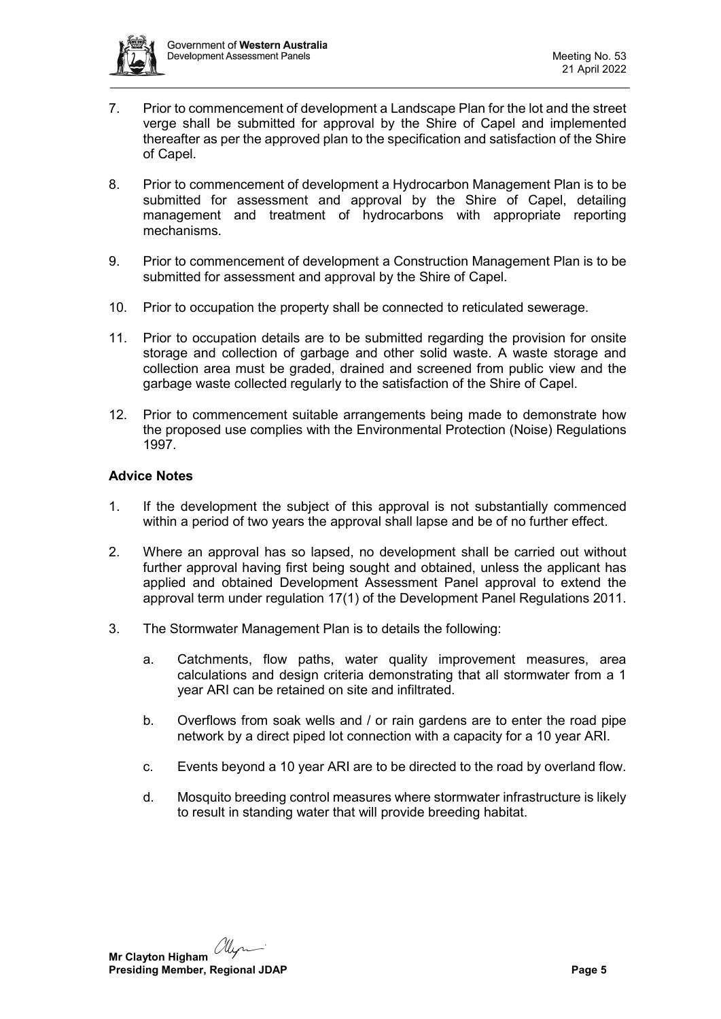

- 7. Prior to commencement of development a Landscape Plan for the lot and the street verge shall be submitted for approval by the Shire of Capel and implemented thereafter as per the approved plan to the specification and satisfaction of the Shire of Capel.
- 8. Prior to commencement of development a Hydrocarbon Management Plan is to be submitted for assessment and approval by the Shire of Capel, detailing management and treatment of hydrocarbons with appropriate reporting mechanisms.
- 9. Prior to commencement of development a Construction Management Plan is to be submitted for assessment and approval by the Shire of Capel.
- 10. Prior to occupation the property shall be connected to reticulated sewerage.
- 11. Prior to occupation details are to be submitted regarding the provision for onsite storage and collection of garbage and other solid waste. A waste storage and collection area must be graded, drained and screened from public view and the garbage waste collected regularly to the satisfaction of the Shire of Capel.
- 12. Prior to commencement suitable arrangements being made to demonstrate how the proposed use complies with the Environmental Protection (Noise) Regulations 1997.

# **Advice Notes**

- 1. If the development the subject of this approval is not substantially commenced within a period of two years the approval shall lapse and be of no further effect.
- 2. Where an approval has so lapsed, no development shall be carried out without further approval having first being sought and obtained, unless the applicant has applied and obtained Development Assessment Panel approval to extend the approval term under regulation 17(1) of the Development Panel Regulations 2011.
- 3. The Stormwater Management Plan is to details the following:
	- a. Catchments, flow paths, water quality improvement measures, area calculations and design criteria demonstrating that all stormwater from a 1 year ARI can be retained on site and infiltrated.
	- b. Overflows from soak wells and / or rain gardens are to enter the road pipe network by a direct piped lot connection with a capacity for a 10 year ARI.
	- c. Events beyond a 10 year ARI are to be directed to the road by overland flow.
	- d. Mosquito breeding control measures where stormwater infrastructure is likely to result in standing water that will provide breeding habitat.

allyn **Mr Clayton Higham Presiding Member, Regional JDAP Page 5 Page 5**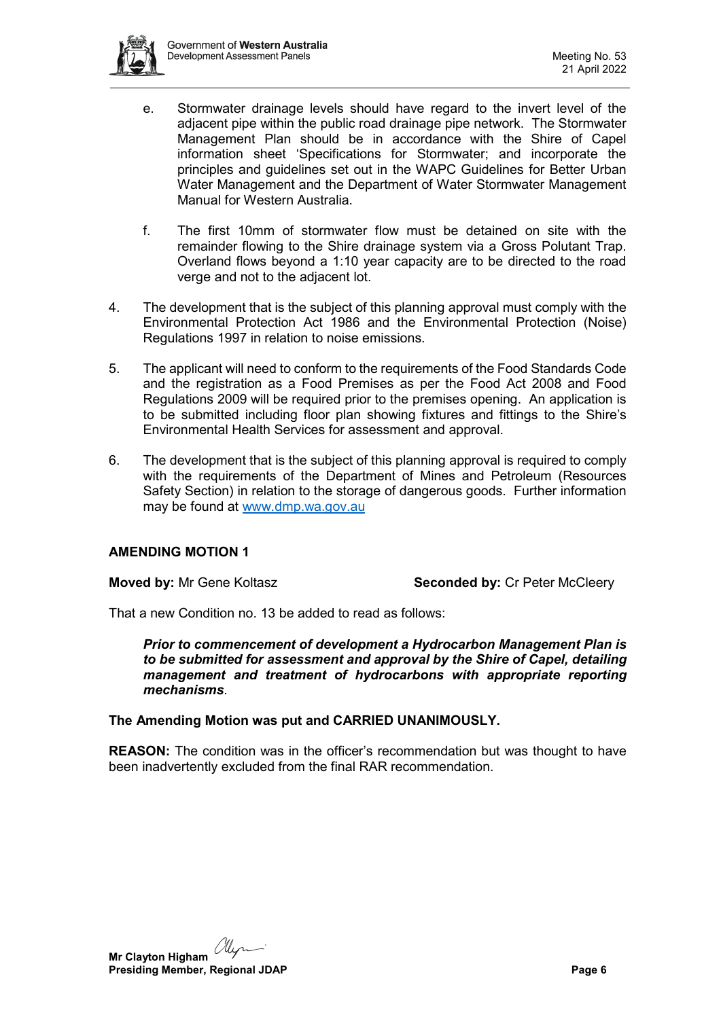

- e. Stormwater drainage levels should have regard to the invert level of the adjacent pipe within the public road drainage pipe network. The Stormwater Management Plan should be in accordance with the Shire of Capel information sheet 'Specifications for Stormwater; and incorporate the principles and guidelines set out in the WAPC Guidelines for Better Urban Water Management and the Department of Water Stormwater Management Manual for Western Australia.
- f. The first 10mm of stormwater flow must be detained on site with the remainder flowing to the Shire drainage system via a Gross Polutant Trap. Overland flows beyond a 1:10 year capacity are to be directed to the road verge and not to the adjacent lot.
- 4. The development that is the subject of this planning approval must comply with the Environmental Protection Act 1986 and the Environmental Protection (Noise) Regulations 1997 in relation to noise emissions.
- 5. The applicant will need to conform to the requirements of the Food Standards Code and the registration as a Food Premises as per the Food Act 2008 and Food Regulations 2009 will be required prior to the premises opening. An application is to be submitted including floor plan showing fixtures and fittings to the Shire's Environmental Health Services for assessment and approval.
- 6. The development that is the subject of this planning approval is required to comply with the requirements of the Department of Mines and Petroleum (Resources Safety Section) in relation to the storage of dangerous goods. Further information may be found at [www.dmp.wa.gov.au](http://www.dmp.wa.gov.au/)

# **AMENDING MOTION 1**

**Moved by:** Mr Gene Koltasz **Seconded by:** Cr Peter McCleery

That a new Condition no. 13 be added to read as follows:

*Prior to commencement of development a Hydrocarbon Management Plan is to be submitted for assessment and approval by the Shire of Capel, detailing management and treatment of hydrocarbons with appropriate reporting mechanisms*.

#### **The Amending Motion was put and CARRIED UNANIMOUSLY.**

**REASON:** The condition was in the officer's recommendation but was thought to have been inadvertently excluded from the final RAR recommendation.

alyn **Mr Clayton Higham Presiding Member, Regional JDAP Page 6 Page 6 Page 6 Page 6 Page 6 Page 6 Page 6 Page 6 Page 6 Page 6 Page 6 Page 6 Page 6 Page 6 Page 6 Page 6 Page 1 Page 1 Page 1 Page 1 Page 1**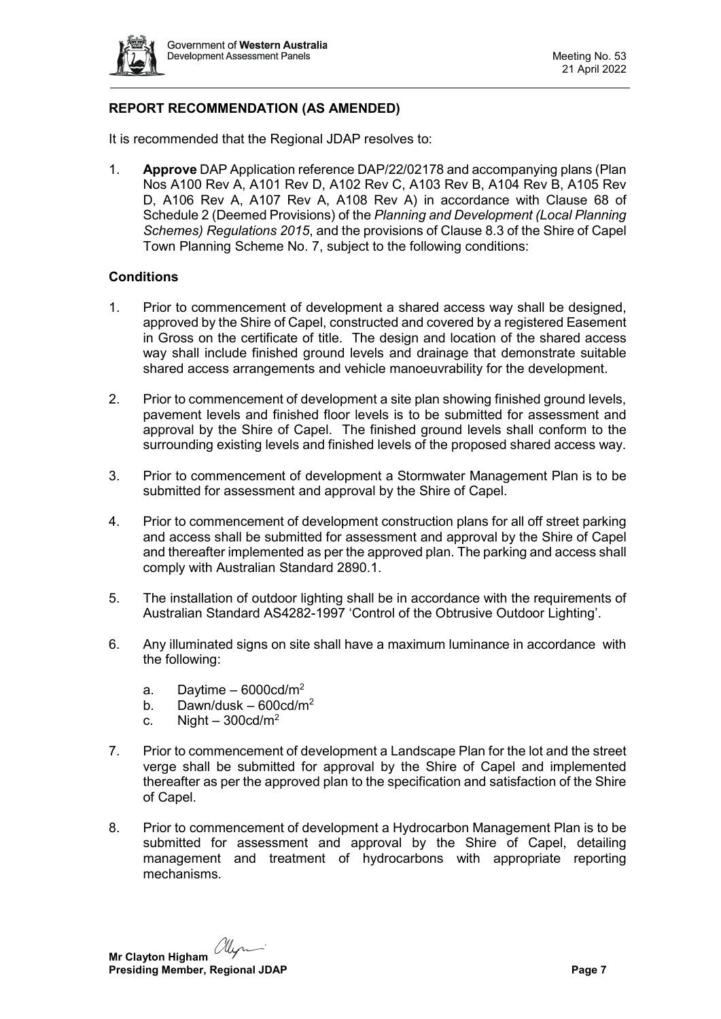

# **REPORT RECOMMENDATION (AS AMENDED)**

It is recommended that the Regional JDAP resolves to:

1. **Approve** DAP Application reference DAP/22/02178 and accompanying plans (Plan Nos A100 Rev A, A101 Rev D, A102 Rev C, A103 Rev B, A104 Rev B, A105 Rev D, A106 Rev A, A107 Rev A, A108 Rev A) in accordance with Clause 68 of Schedule 2 (Deemed Provisions) of the *Planning and Development (Local Planning Schemes) Regulations 2015*, and the provisions of Clause 8.3 of the Shire of Capel Town Planning Scheme No. 7, subject to the following conditions:

# **Conditions**

- 1. Prior to commencement of development a shared access way shall be designed, approved by the Shire of Capel, constructed and covered by a registered Easement in Gross on the certificate of title. The design and location of the shared access way shall include finished ground levels and drainage that demonstrate suitable shared access arrangements and vehicle manoeuvrability for the development.
- 2. Prior to commencement of development a site plan showing finished ground levels, pavement levels and finished floor levels is to be submitted for assessment and approval by the Shire of Capel. The finished ground levels shall conform to the surrounding existing levels and finished levels of the proposed shared access way.
- 3. Prior to commencement of development a Stormwater Management Plan is to be submitted for assessment and approval by the Shire of Capel.
- 4. Prior to commencement of development construction plans for all off street parking and access shall be submitted for assessment and approval by the Shire of Capel and thereafter implemented as per the approved plan. The parking and access shall comply with Australian Standard 2890.1.
- 5. The installation of outdoor lighting shall be in accordance with the requirements of Australian Standard AS4282-1997 'Control of the Obtrusive Outdoor Lighting'.
- 6. Any illuminated signs on site shall have a maximum luminance in accordance with the following:
	- a. Daytime  $-6000 \text{cd/m}^2$
	- b. Dawn/dusk  $600 \text{cd/m}^2$
	- c. Night  $300 \text{cd/m}^2$
- 7. Prior to commencement of development a Landscape Plan for the lot and the street verge shall be submitted for approval by the Shire of Capel and implemented thereafter as per the approved plan to the specification and satisfaction of the Shire of Capel.
- 8. Prior to commencement of development a Hydrocarbon Management Plan is to be submitted for assessment and approval by the Shire of Capel, detailing management and treatment of hydrocarbons with appropriate reporting mechanisms.

**Mr Clayton Higham** *My* **Presiding Member, Regional JDAP Page 7 Page 7 Page 7**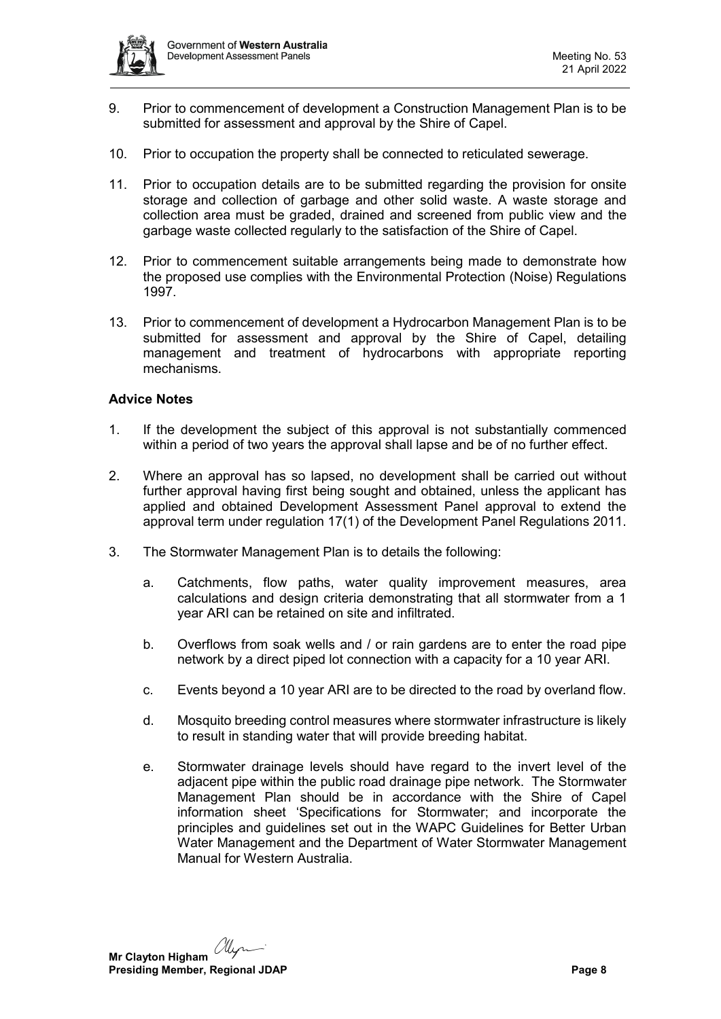

- 9. Prior to commencement of development a Construction Management Plan is to be submitted for assessment and approval by the Shire of Capel.
- 10. Prior to occupation the property shall be connected to reticulated sewerage.
- 11. Prior to occupation details are to be submitted regarding the provision for onsite storage and collection of garbage and other solid waste. A waste storage and collection area must be graded, drained and screened from public view and the garbage waste collected regularly to the satisfaction of the Shire of Capel.
- 12. Prior to commencement suitable arrangements being made to demonstrate how the proposed use complies with the Environmental Protection (Noise) Regulations 1997.
- 13. Prior to commencement of development a Hydrocarbon Management Plan is to be submitted for assessment and approval by the Shire of Capel, detailing management and treatment of hydrocarbons with appropriate reporting mechanisms.

## **Advice Notes**

- 1. If the development the subject of this approval is not substantially commenced within a period of two years the approval shall lapse and be of no further effect.
- 2. Where an approval has so lapsed, no development shall be carried out without further approval having first being sought and obtained, unless the applicant has applied and obtained Development Assessment Panel approval to extend the approval term under regulation 17(1) of the Development Panel Regulations 2011.
- 3. The Stormwater Management Plan is to details the following:
	- a. Catchments, flow paths, water quality improvement measures, area calculations and design criteria demonstrating that all stormwater from a 1 year ARI can be retained on site and infiltrated.
	- b. Overflows from soak wells and / or rain gardens are to enter the road pipe network by a direct piped lot connection with a capacity for a 10 year ARI.
	- c. Events beyond a 10 year ARI are to be directed to the road by overland flow.
	- d. Mosquito breeding control measures where stormwater infrastructure is likely to result in standing water that will provide breeding habitat.
	- e. Stormwater drainage levels should have regard to the invert level of the adjacent pipe within the public road drainage pipe network. The Stormwater Management Plan should be in accordance with the Shire of Capel information sheet 'Specifications for Stormwater; and incorporate the principles and guidelines set out in the WAPC Guidelines for Better Urban Water Management and the Department of Water Stormwater Management Manual for Western Australia.

alyn **Mr Clayton Higham**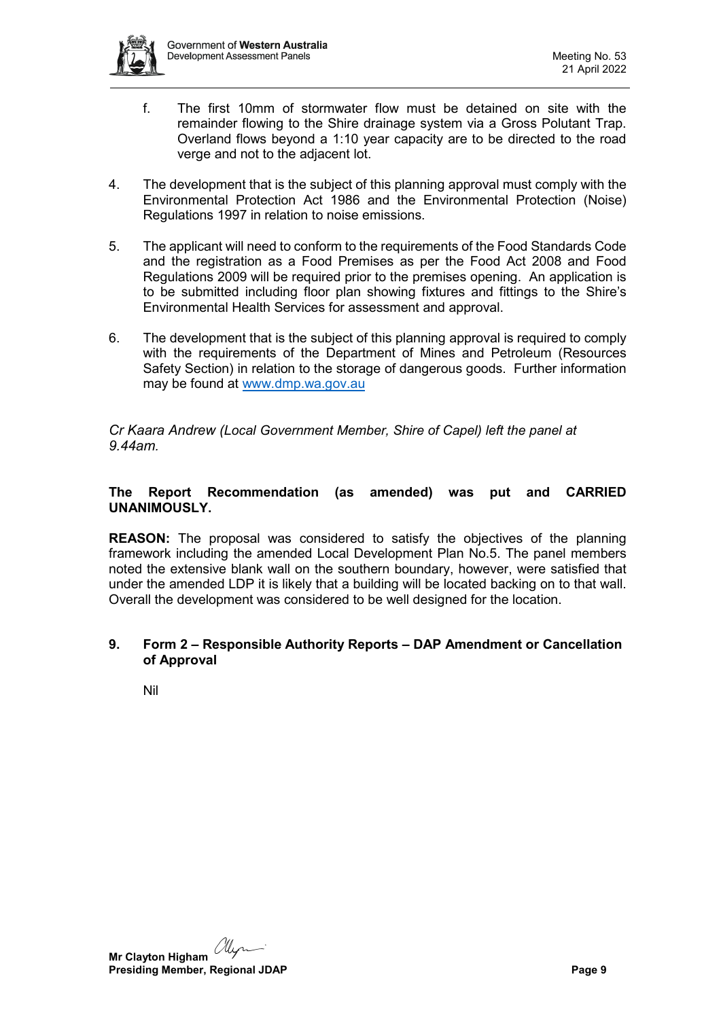

- f. The first 10mm of stormwater flow must be detained on site with the remainder flowing to the Shire drainage system via a Gross Polutant Trap. Overland flows beyond a 1:10 year capacity are to be directed to the road verge and not to the adjacent lot.
- 4. The development that is the subject of this planning approval must comply with the Environmental Protection Act 1986 and the Environmental Protection (Noise) Regulations 1997 in relation to noise emissions.
- 5. The applicant will need to conform to the requirements of the Food Standards Code and the registration as a Food Premises as per the Food Act 2008 and Food Regulations 2009 will be required prior to the premises opening. An application is to be submitted including floor plan showing fixtures and fittings to the Shire's Environmental Health Services for assessment and approval.
- 6. The development that is the subject of this planning approval is required to comply with the requirements of the Department of Mines and Petroleum (Resources Safety Section) in relation to the storage of dangerous goods. Further information may be found at [www.dmp.wa.gov.au](http://www.dmp.wa.gov.au/)

*Cr Kaara Andrew (Local Government Member, Shire of Capel) left the panel at 9.44am.*

# **The Report Recommendation (as amended) was put and CARRIED UNANIMOUSLY.**

**REASON:** The proposal was considered to satisfy the objectives of the planning framework including the amended Local Development Plan No.5. The panel members noted the extensive blank wall on the southern boundary, however, were satisfied that under the amended LDP it is likely that a building will be located backing on to that wall. Overall the development was considered to be well designed for the location.

## <span id="page-8-0"></span>**9. Form 2 – Responsible Authority Reports – DAP Amendment or Cancellation of Approval**

<span id="page-8-1"></span>Nil

alyn **Mr Clayton Higham Presiding Member, Regional JDAP Page 9 Page 9**